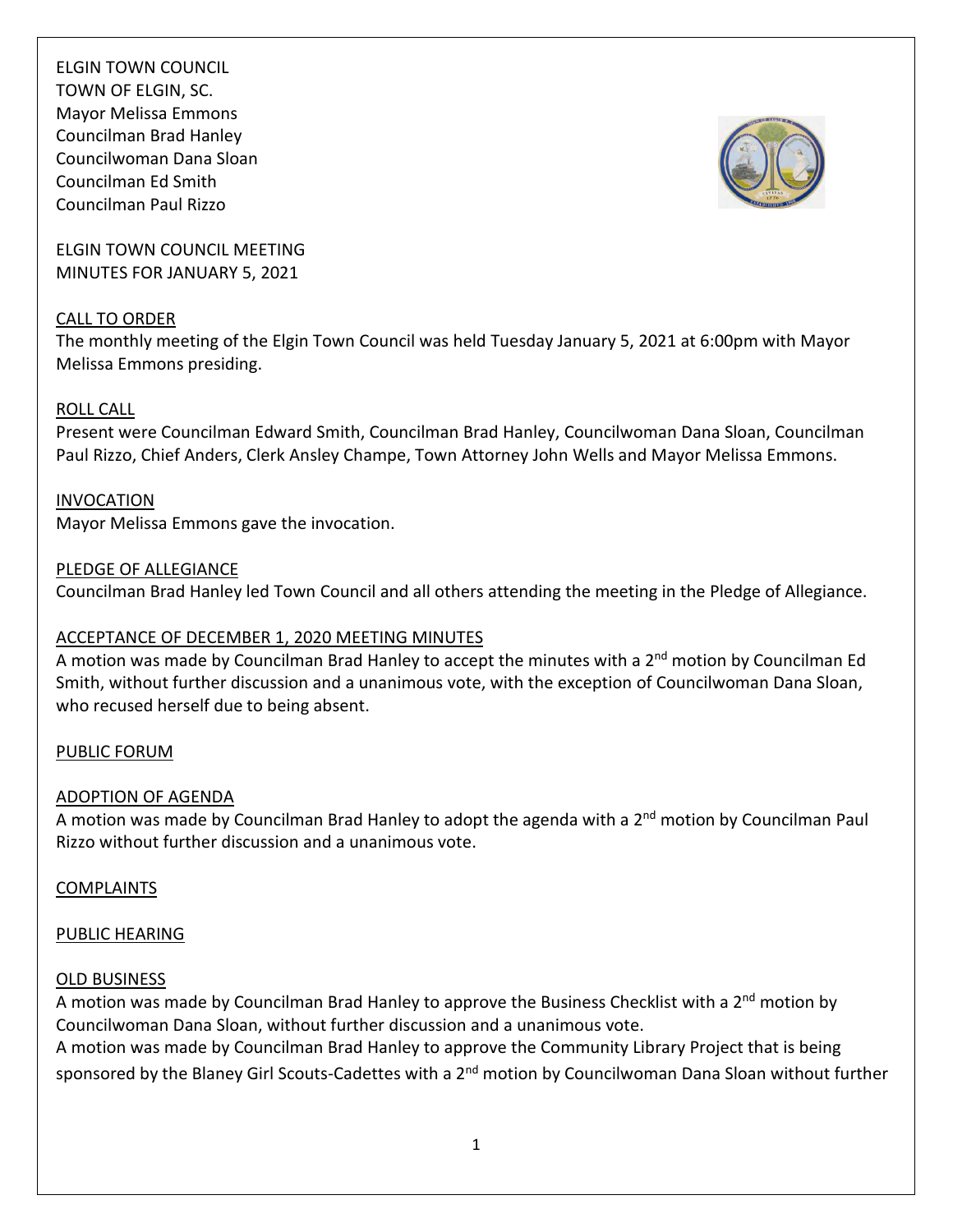

ELGIN TOWN COUNCIL MEETING MINUTES FOR JANUARY 5, 2021

### CALL TO ORDER

The monthly meeting of the Elgin Town Council was held Tuesday January 5, 2021 at 6:00pm with Mayor Melissa Emmons presiding.

### ROLL CALL

Present were Councilman Edward Smith, Councilman Brad Hanley, Councilwoman Dana Sloan, Councilman Paul Rizzo, Chief Anders, Clerk Ansley Champe, Town Attorney John Wells and Mayor Melissa Emmons.

INVOCATION Mayor Melissa Emmons gave the invocation.

### PLEDGE OF ALLEGIANCE

Councilman Brad Hanley led Town Council and all others attending the meeting in the Pledge of Allegiance.

# ACCEPTANCE OF DECEMBER 1, 2020 MEETING MINUTES

A motion was made by Councilman Brad Hanley to accept the minutes with a 2<sup>nd</sup> motion by Councilman Ed Smith, without further discussion and a unanimous vote, with the exception of Councilwoman Dana Sloan, who recused herself due to being absent.

### PUBLIC FORUM

# ADOPTION OF AGENDA

A motion was made by Councilman Brad Hanley to adopt the agenda with a 2<sup>nd</sup> motion by Councilman Paul Rizzo without further discussion and a unanimous vote.

# COMPLAINTS

# PUBLIC HEARING

### OLD BUSINESS

A motion was made by Councilman Brad Hanley to approve the Business Checklist with a  $2<sup>nd</sup>$  motion by Councilwoman Dana Sloan, without further discussion and a unanimous vote.

A motion was made by Councilman Brad Hanley to approve the Community Library Project that is being sponsored by the Blaney Girl Scouts-Cadettes with a 2<sup>nd</sup> motion by Councilwoman Dana Sloan without further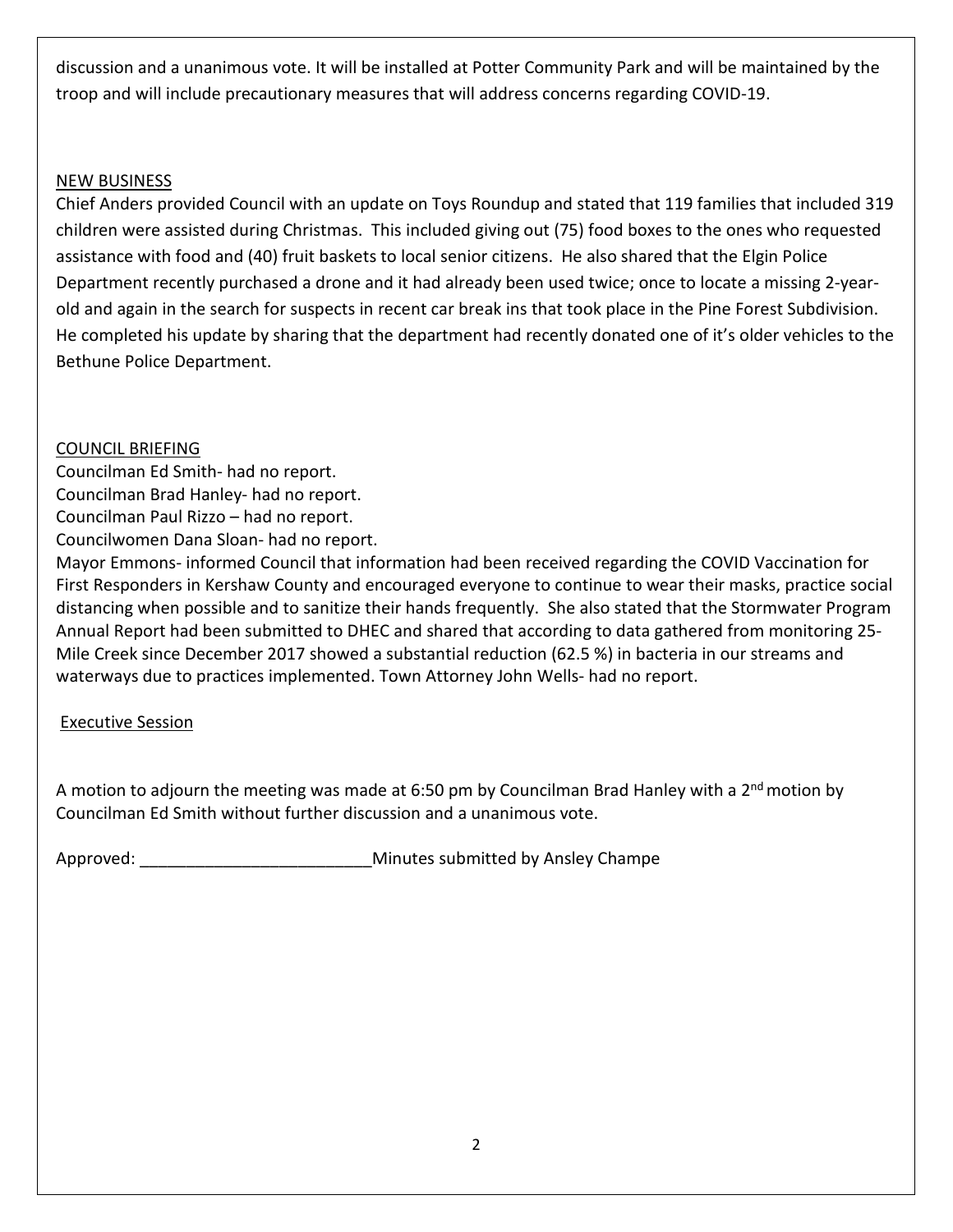discussion and a unanimous vote. It will be installed at Potter Community Park and will be maintained by the troop and will include precautionary measures that will address concerns regarding COVID-19.

# NEW BUSINESS

Chief Anders provided Council with an update on Toys Roundup and stated that 119 families that included 319 children were assisted during Christmas. This included giving out (75) food boxes to the ones who requested assistance with food and (40) fruit baskets to local senior citizens. He also shared that the Elgin Police Department recently purchased a drone and it had already been used twice; once to locate a missing 2-yearold and again in the search for suspects in recent car break ins that took place in the Pine Forest Subdivision. He completed his update by sharing that the department had recently donated one of it's older vehicles to the Bethune Police Department.

# COUNCIL BRIEFING

Councilman Ed Smith- had no report.

Councilman Brad Hanley- had no report.

Councilman Paul Rizzo – had no report.

Councilwomen Dana Sloan- had no report.

Mayor Emmons- informed Council that information had been received regarding the COVID Vaccination for First Responders in Kershaw County and encouraged everyone to continue to wear their masks, practice social distancing when possible and to sanitize their hands frequently. She also stated that the Stormwater Program Annual Report had been submitted to DHEC and shared that according to data gathered from monitoring 25- Mile Creek since December 2017 showed a substantial reduction (62.5 %) in bacteria in our streams and waterways due to practices implemented. Town Attorney John Wells- had no report.

# Executive Session

A motion to adjourn the meeting was made at 6:50 pm by Councilman Brad Hanley with a 2<sup>nd</sup> motion by Councilman Ed Smith without further discussion and a unanimous vote.

Approved: etc. and the matrix of the Minutes submitted by Ansley Champe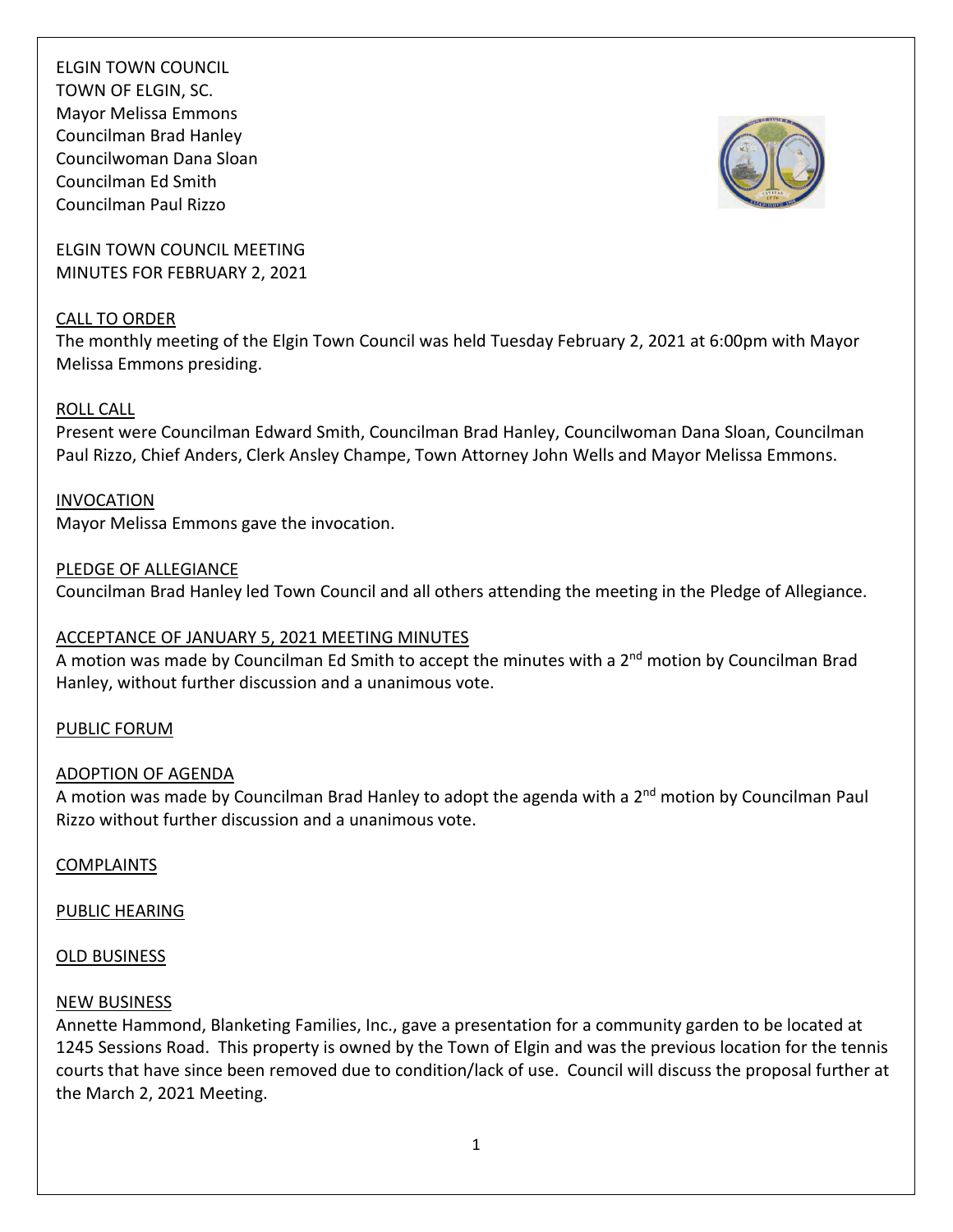

ELGIN TOWN COUNCIL MEETING MINUTES FOR FEBRUARY 2, 2021

### CALL TO ORDER

The monthly meeting of the Elgin Town Council was held Tuesday February 2, 2021 at 6:00pm with Mayor Melissa Emmons presiding.

### ROLL CALL

Present were Councilman Edward Smith, Councilman Brad Hanley, Councilwoman Dana Sloan, Councilman Paul Rizzo, Chief Anders, Clerk Ansley Champe, Town Attorney John Wells and Mayor Melissa Emmons.

INVOCATION Mayor Melissa Emmons gave the invocation.

### PLEDGE OF ALLEGIANCE

Councilman Brad Hanley led Town Council and all others attending the meeting in the Pledge of Allegiance.

# ACCEPTANCE OF JANUARY 5, 2021 MEETING MINUTES

A motion was made by Councilman Ed Smith to accept the minutes with a 2<sup>nd</sup> motion by Councilman Brad Hanley, without further discussion and a unanimous vote.

### PUBLIC FORUM

### ADOPTION OF AGENDA

A motion was made by Councilman Brad Hanley to adopt the agenda with a 2<sup>nd</sup> motion by Councilman Paul Rizzo without further discussion and a unanimous vote.

### **COMPLAINTS**

### PUBLIC HEARING

### OLD BUSINESS

### NEW BUSINESS

Annette Hammond, Blanketing Families, Inc., gave a presentation for a community garden to be located at 1245 Sessions Road. This property is owned by the Town of Elgin and was the previous location for the tennis courts that have since been removed due to condition/lack of use. Council will discuss the proposal further at the March 2, 2021 Meeting.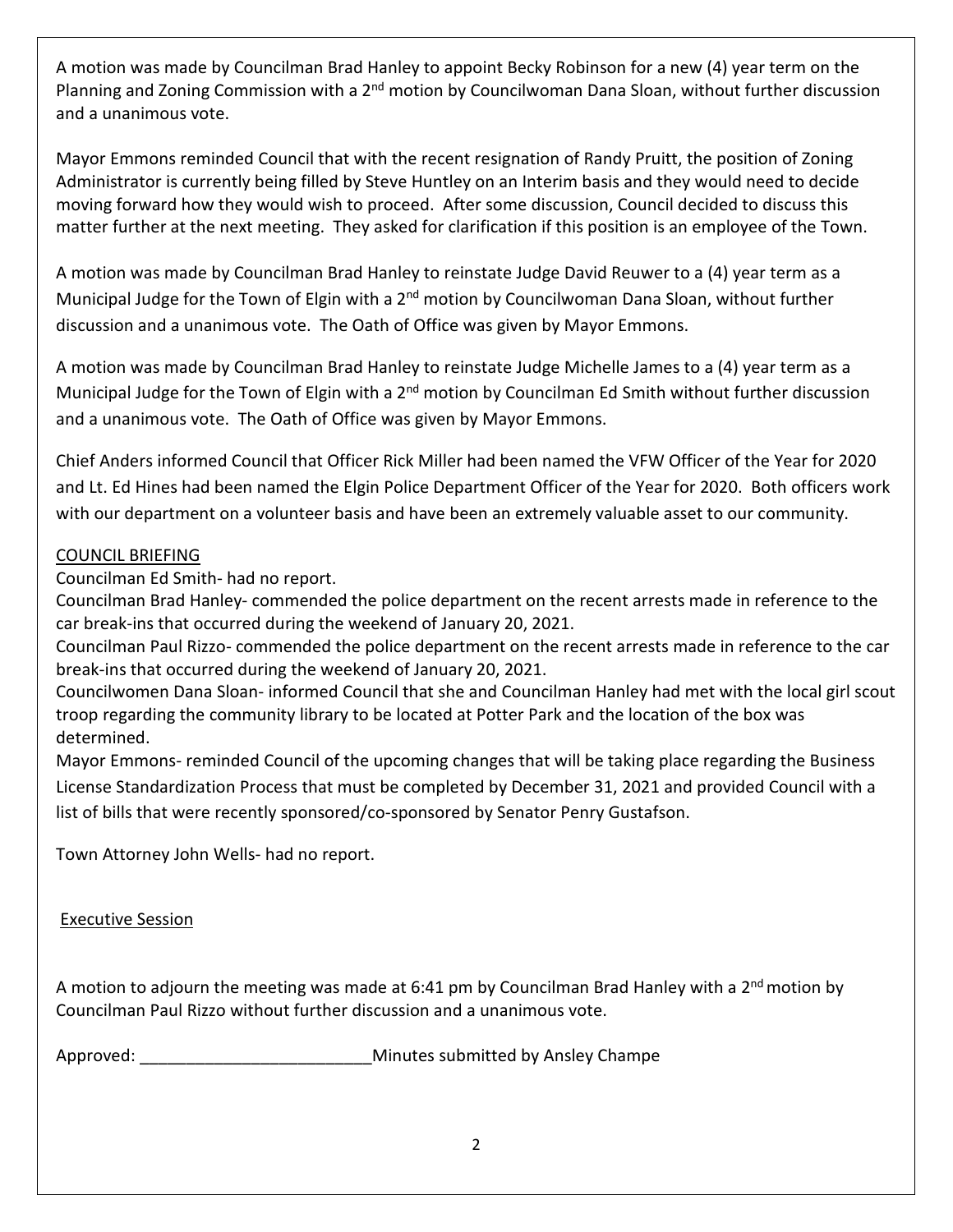A motion was made by Councilman Brad Hanley to appoint Becky Robinson for a new (4) year term on the Planning and Zoning Commission with a 2<sup>nd</sup> motion by Councilwoman Dana Sloan, without further discussion and a unanimous vote.

Mayor Emmons reminded Council that with the recent resignation of Randy Pruitt, the position of Zoning Administrator is currently being filled by Steve Huntley on an Interim basis and they would need to decide moving forward how they would wish to proceed. After some discussion, Council decided to discuss this matter further at the next meeting. They asked for clarification if this position is an employee of the Town.

A motion was made by Councilman Brad Hanley to reinstate Judge David Reuwer to a (4) year term as a Municipal Judge for the Town of Elgin with a 2<sup>nd</sup> motion by Councilwoman Dana Sloan, without further discussion and a unanimous vote. The Oath of Office was given by Mayor Emmons.

A motion was made by Councilman Brad Hanley to reinstate Judge Michelle James to a (4) year term as a Municipal Judge for the Town of Elgin with a 2<sup>nd</sup> motion by Councilman Ed Smith without further discussion and a unanimous vote. The Oath of Office was given by Mayor Emmons.

Chief Anders informed Council that Officer Rick Miller had been named the VFW Officer of the Year for 2020 and Lt. Ed Hines had been named the Elgin Police Department Officer of the Year for 2020. Both officers work with our department on a volunteer basis and have been an extremely valuable asset to our community.

# COUNCIL BRIEFING

Councilman Ed Smith- had no report.

Councilman Brad Hanley- commended the police department on the recent arrests made in reference to the car break-ins that occurred during the weekend of January 20, 2021.

Councilman Paul Rizzo- commended the police department on the recent arrests made in reference to the car break-ins that occurred during the weekend of January 20, 2021.

Councilwomen Dana Sloan- informed Council that she and Councilman Hanley had met with the local girl scout troop regarding the community library to be located at Potter Park and the location of the box was determined.

Mayor Emmons- reminded Council of the upcoming changes that will be taking place regarding the Business License Standardization Process that must be completed by December 31, 2021 and provided Council with a list of bills that were recently sponsored/co-sponsored by Senator Penry Gustafson.

Town Attorney John Wells- had no report.

Executive Session

A motion to adjourn the meeting was made at 6:41 pm by Councilman Brad Hanley with a  $2^{nd}$  motion by Councilman Paul Rizzo without further discussion and a unanimous vote.

Approved:  $\blacksquare$  Approved:  $\blacksquare$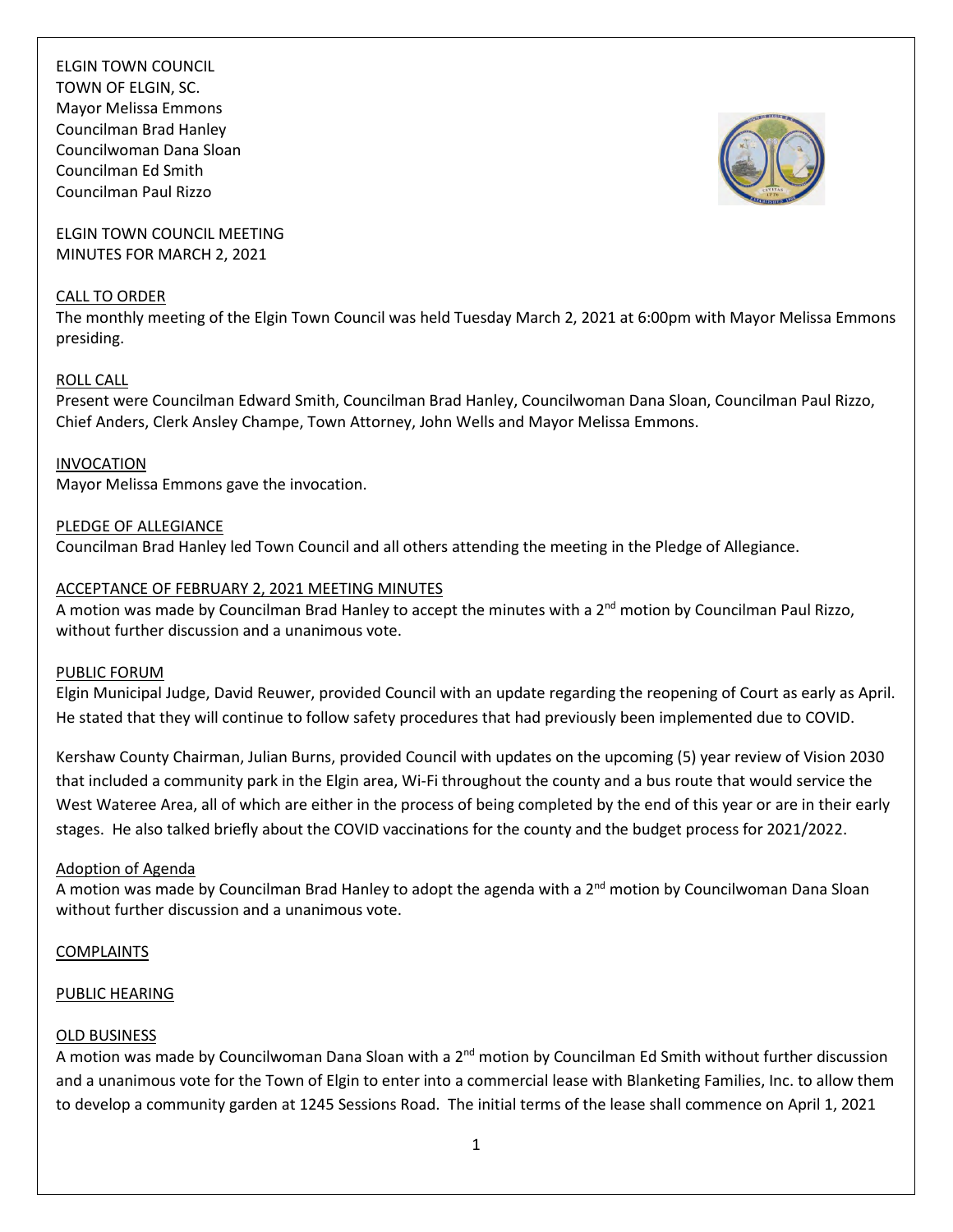

ELGIN TOWN COUNCIL MEETING MINUTES FOR MARCH 2, 2021

#### CALL TO ORDER

The monthly meeting of the Elgin Town Council was held Tuesday March 2, 2021 at 6:00pm with Mayor Melissa Emmons presiding.

### ROLL CALL

Present were Councilman Edward Smith, Councilman Brad Hanley, Councilwoman Dana Sloan, Councilman Paul Rizzo, Chief Anders, Clerk Ansley Champe, Town Attorney, John Wells and Mayor Melissa Emmons.

INVOCATION

Mayor Melissa Emmons gave the invocation.

PLEDGE OF ALLEGIANCE Councilman Brad Hanley led Town Council and all others attending the meeting in the Pledge of Allegiance.

### ACCEPTANCE OF FEBRUARY 2, 2021 MEETING MINUTES

A motion was made by Councilman Brad Hanley to accept the minutes with a 2<sup>nd</sup> motion by Councilman Paul Rizzo, without further discussion and a unanimous vote.

### PUBLIC FORUM

Elgin Municipal Judge, David Reuwer, provided Council with an update regarding the reopening of Court as early as April. He stated that they will continue to follow safety procedures that had previously been implemented due to COVID.

Kershaw County Chairman, Julian Burns, provided Council with updates on the upcoming (5) year review of Vision 2030 that included a community park in the Elgin area, Wi-Fi throughout the county and a bus route that would service the West Wateree Area, all of which are either in the process of being completed by the end of this year or are in their early stages. He also talked briefly about the COVID vaccinations for the county and the budget process for 2021/2022.

### Adoption of Agenda

A motion was made by Councilman Brad Hanley to adopt the agenda with a 2<sup>nd</sup> motion by Councilwoman Dana Sloan without further discussion and a unanimous vote.

### COMPLAINTS

### PUBLIC HEARING

### OLD BUSINESS

A motion was made by Councilwoman Dana Sloan with a 2<sup>nd</sup> motion by Councilman Ed Smith without further discussion and a unanimous vote for the Town of Elgin to enter into a commercial lease with Blanketing Families, Inc. to allow them to develop a community garden at 1245 Sessions Road. The initial terms of the lease shall commence on April 1, 2021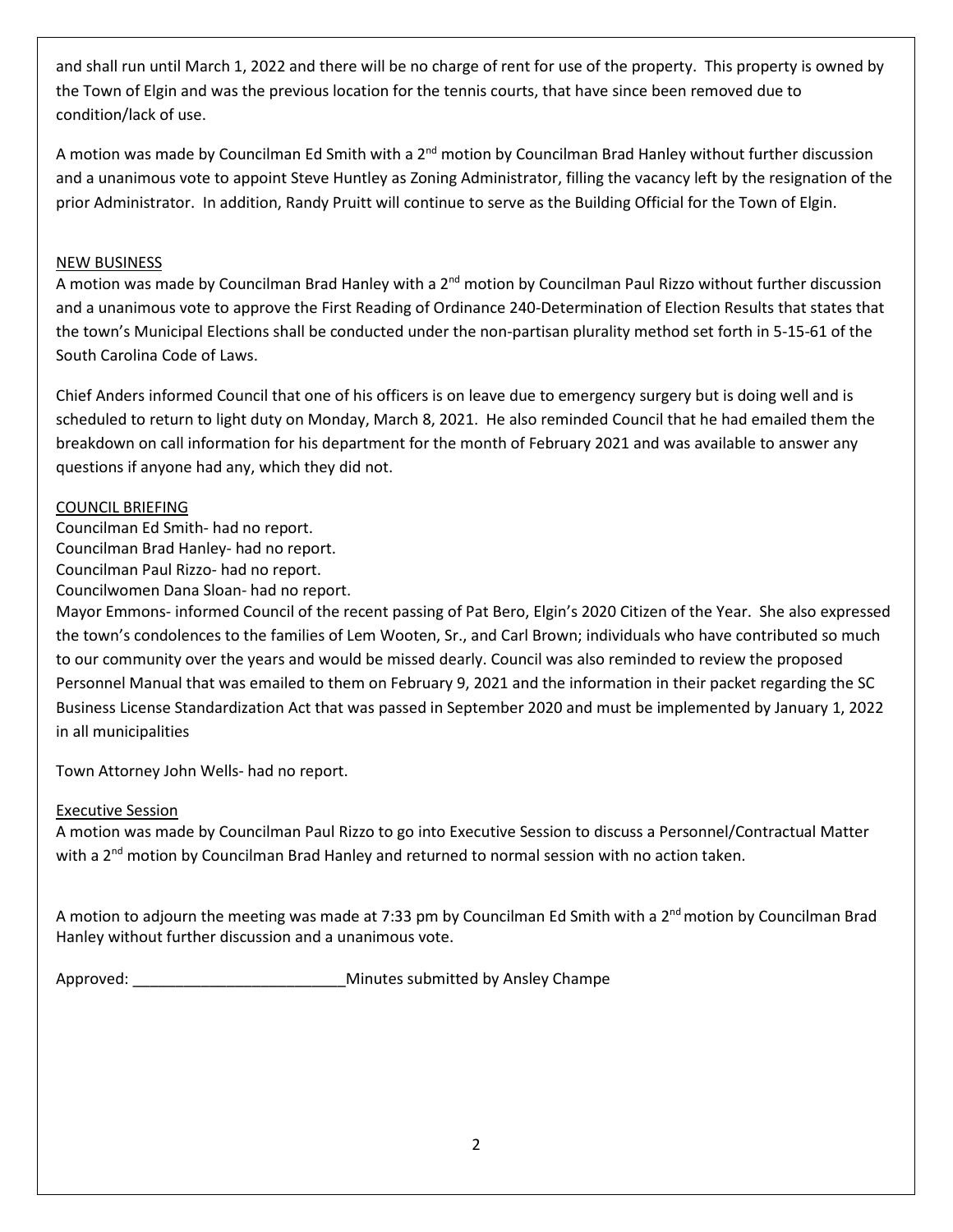and shall run until March 1, 2022 and there will be no charge of rent for use of the property. This property is owned by the Town of Elgin and was the previous location for the tennis courts, that have since been removed due to condition/lack of use.

A motion was made by Councilman Ed Smith with a 2<sup>nd</sup> motion by Councilman Brad Hanley without further discussion and a unanimous vote to appoint Steve Huntley as Zoning Administrator, filling the vacancy left by the resignation of the prior Administrator. In addition, Randy Pruitt will continue to serve as the Building Official for the Town of Elgin.

### NEW BUSINESS

A motion was made by Councilman Brad Hanley with a 2<sup>nd</sup> motion by Councilman Paul Rizzo without further discussion and a unanimous vote to approve the First Reading of Ordinance 240-Determination of Election Results that states that the town's Municipal Elections shall be conducted under the non-partisan plurality method set forth in 5-15-61 of the South Carolina Code of Laws.

Chief Anders informed Council that one of his officers is on leave due to emergency surgery but is doing well and is scheduled to return to light duty on Monday, March 8, 2021. He also reminded Council that he had emailed them the breakdown on call information for his department for the month of February 2021 and was available to answer any questions if anyone had any, which they did not.

### COUNCIL BRIEFING

Councilman Ed Smith- had no report.

Councilman Brad Hanley- had no report.

Councilman Paul Rizzo- had no report.

Councilwomen Dana Sloan- had no report.

Mayor Emmons- informed Council of the recent passing of Pat Bero, Elgin's 2020 Citizen of the Year. She also expressed the town's condolences to the families of Lem Wooten, Sr., and Carl Brown; individuals who have contributed so much to our community over the years and would be missed dearly. Council was also reminded to review the proposed Personnel Manual that was emailed to them on February 9, 2021 and the information in their packet regarding the SC Business License Standardization Act that was passed in September 2020 and must be implemented by January 1, 2022 in all municipalities

Town Attorney John Wells- had no report.

# Executive Session

A motion was made by Councilman Paul Rizzo to go into Executive Session to discuss a Personnel/Contractual Matter with a 2<sup>nd</sup> motion by Councilman Brad Hanley and returned to normal session with no action taken.

A motion to adjourn the meeting was made at 7:33 pm by Councilman Ed Smith with a 2<sup>nd</sup> motion by Councilman Brad Hanley without further discussion and a unanimous vote.

Approved: etc. and the Minutes submitted by Ansley Champe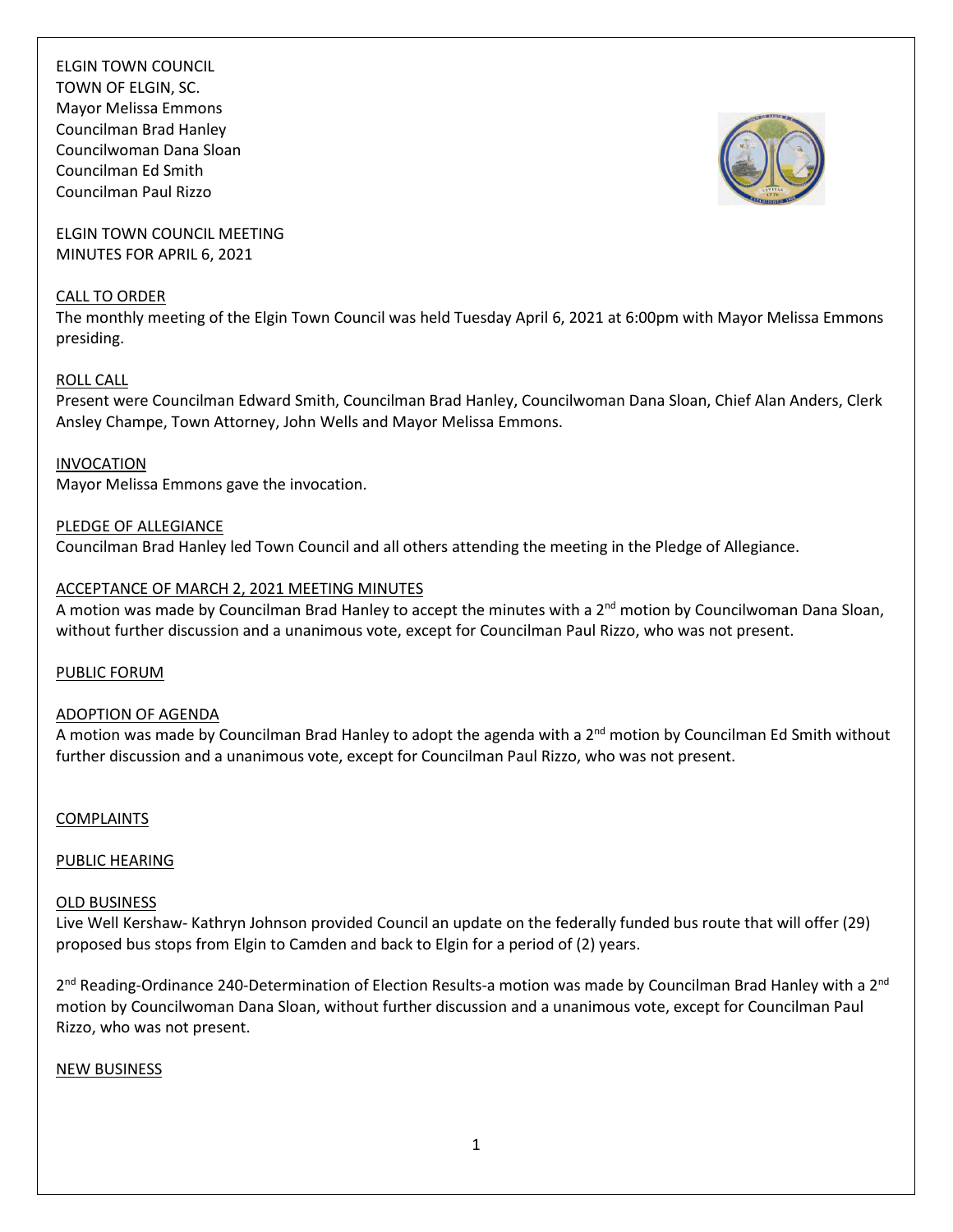

ELGIN TOWN COUNCIL MEETING MINUTES FOR APRIL 6, 2021

#### CALL TO ORDER

The monthly meeting of the Elgin Town Council was held Tuesday April 6, 2021 at 6:00pm with Mayor Melissa Emmons presiding.

### ROLL CALL

Present were Councilman Edward Smith, Councilman Brad Hanley, Councilwoman Dana Sloan, Chief Alan Anders, Clerk Ansley Champe, Town Attorney, John Wells and Mayor Melissa Emmons.

#### INVOCATION

Mayor Melissa Emmons gave the invocation.

### PLEDGE OF ALLEGIANCE

Councilman Brad Hanley led Town Council and all others attending the meeting in the Pledge of Allegiance.

### ACCEPTANCE OF MARCH 2, 2021 MEETING MINUTES

A motion was made by Councilman Brad Hanley to accept the minutes with a  $2^{nd}$  motion by Councilwoman Dana Sloan, without further discussion and a unanimous vote, except for Councilman Paul Rizzo, who was not present.

### PUBLIC FORUM

### ADOPTION OF AGENDA

A motion was made by Councilman Brad Hanley to adopt the agenda with a  $2^{nd}$  motion by Councilman Ed Smith without further discussion and a unanimous vote, except for Councilman Paul Rizzo, who was not present.

### COMPLAINTS

### PUBLIC HEARING

### OLD BUSINESS

Live Well Kershaw- Kathryn Johnson provided Council an update on the federally funded bus route that will offer (29) proposed bus stops from Elgin to Camden and back to Elgin for a period of (2) years.

2<sup>nd</sup> Reading-Ordinance 240-Determination of Election Results-a motion was made by Councilman Brad Hanley with a 2<sup>nd</sup> motion by Councilwoman Dana Sloan, without further discussion and a unanimous vote, except for Councilman Paul Rizzo, who was not present.

### NEW BUSINESS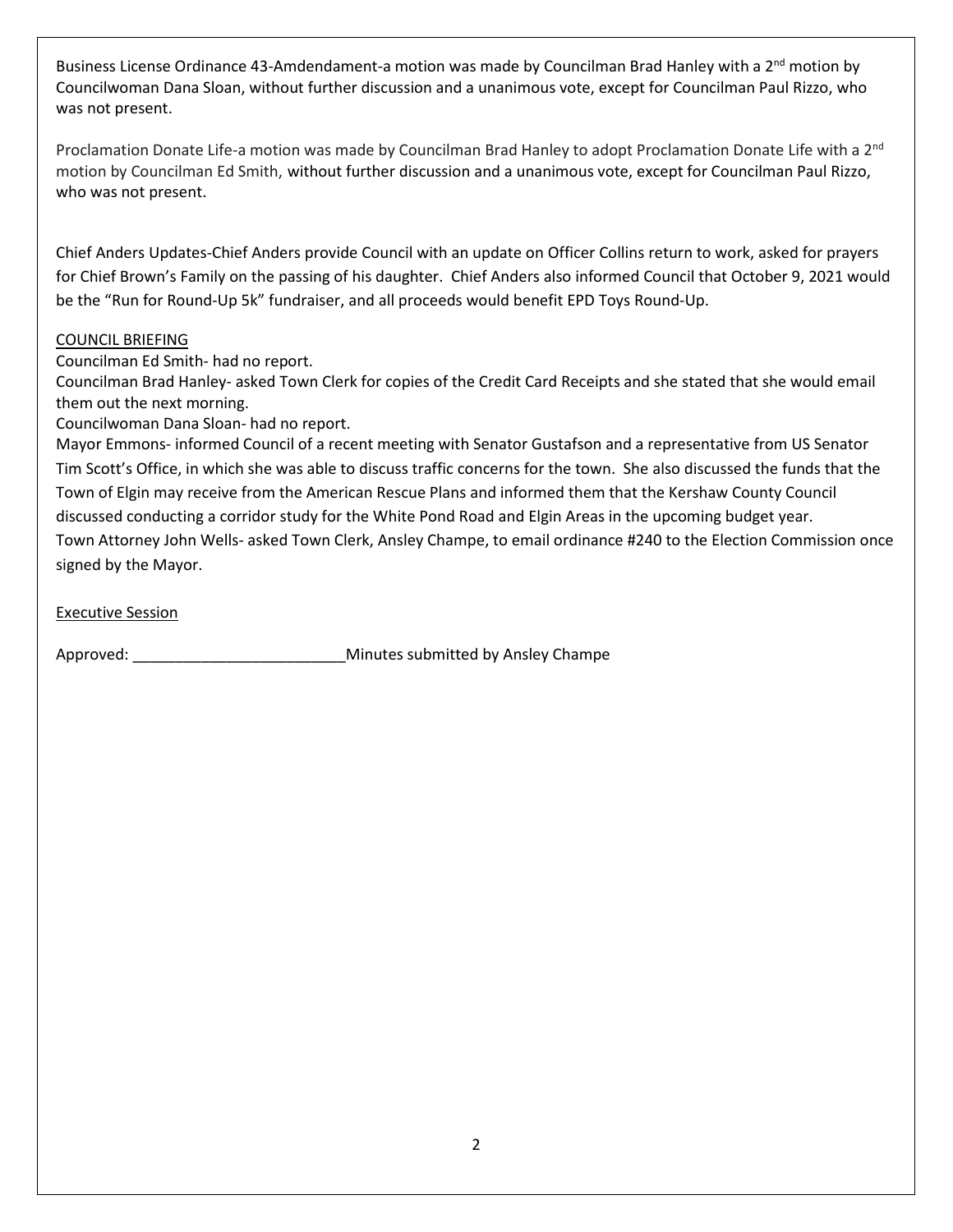Business License Ordinance 43-Amdendament-a motion was made by Councilman Brad Hanley with a 2<sup>nd</sup> motion by Councilwoman Dana Sloan, without further discussion and a unanimous vote, except for Councilman Paul Rizzo, who was not present.

Proclamation Donate Life-a motion was made by Councilman Brad Hanley to adopt Proclamation Donate Life with a 2<sup>nd</sup> motion by Councilman Ed Smith, without further discussion and a unanimous vote, except for Councilman Paul Rizzo, who was not present.

Chief Anders Updates-Chief Anders provide Council with an update on Officer Collins return to work, asked for prayers for Chief Brown's Family on the passing of his daughter. Chief Anders also informed Council that October 9, 2021 would be the "Run for Round-Up 5k" fundraiser, and all proceeds would benefit EPD Toys Round-Up.

### COUNCIL BRIEFING

Councilman Ed Smith- had no report.

Councilman Brad Hanley- asked Town Clerk for copies of the Credit Card Receipts and she stated that she would email them out the next morning.

Councilwoman Dana Sloan- had no report.

Mayor Emmons- informed Council of a recent meeting with Senator Gustafson and a representative from US Senator Tim Scott's Office, in which she was able to discuss traffic concerns for the town. She also discussed the funds that the Town of Elgin may receive from the American Rescue Plans and informed them that the Kershaw County Council discussed conducting a corridor study for the White Pond Road and Elgin Areas in the upcoming budget year. Town Attorney John Wells- asked Town Clerk, Ansley Champe, to email ordinance #240 to the Election Commission once signed by the Mayor.

Executive Session

Approved: \_\_\_\_\_\_\_\_\_\_\_\_\_\_\_\_\_\_\_\_\_\_\_\_\_Minutes submitted by Ansley Champe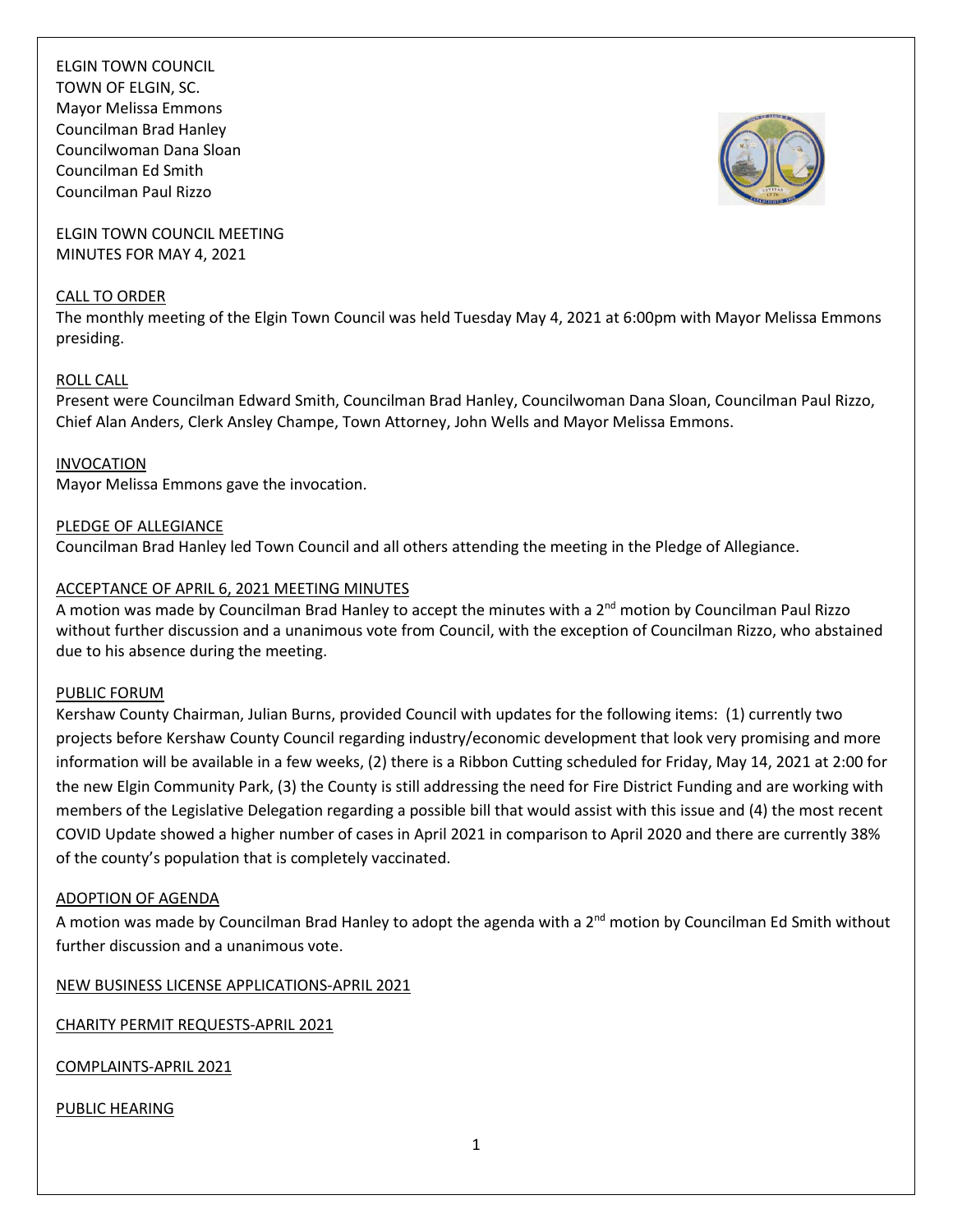

ELGIN TOWN COUNCIL MEETING MINUTES FOR MAY 4, 2021

#### CALL TO ORDER

The monthly meeting of the Elgin Town Council was held Tuesday May 4, 2021 at 6:00pm with Mayor Melissa Emmons presiding.

### ROLL CALL

Present were Councilman Edward Smith, Councilman Brad Hanley, Councilwoman Dana Sloan, Councilman Paul Rizzo, Chief Alan Anders, Clerk Ansley Champe, Town Attorney, John Wells and Mayor Melissa Emmons.

### INVOCATION

Mayor Melissa Emmons gave the invocation.

### PLEDGE OF ALLEGIANCE

Councilman Brad Hanley led Town Council and all others attending the meeting in the Pledge of Allegiance.

### ACCEPTANCE OF APRIL 6, 2021 MEETING MINUTES

A motion was made by Councilman Brad Hanley to accept the minutes with a  $2^{nd}$  motion by Councilman Paul Rizzo without further discussion and a unanimous vote from Council, with the exception of Councilman Rizzo, who abstained due to his absence during the meeting.

### PUBLIC FORUM

Kershaw County Chairman, Julian Burns, provided Council with updates for the following items: (1) currently two projects before Kershaw County Council regarding industry/economic development that look very promising and more information will be available in a few weeks, (2) there is a Ribbon Cutting scheduled for Friday, May 14, 2021 at 2:00 for the new Elgin Community Park, (3) the County is still addressing the need for Fire District Funding and are working with members of the Legislative Delegation regarding a possible bill that would assist with this issue and (4) the most recent COVID Update showed a higher number of cases in April 2021 in comparison to April 2020 and there are currently 38% of the county's population that is completely vaccinated.

### ADOPTION OF AGENDA

A motion was made by Councilman Brad Hanley to adopt the agenda with a 2<sup>nd</sup> motion by Councilman Ed Smith without further discussion and a unanimous vote.

NEW BUSINESS LICENSE APPLICATIONS-APRIL 2021

CHARITY PERMIT REQUESTS-APRIL 2021

COMPLAINTS-APRIL 2021

### PUBLIC HEARING